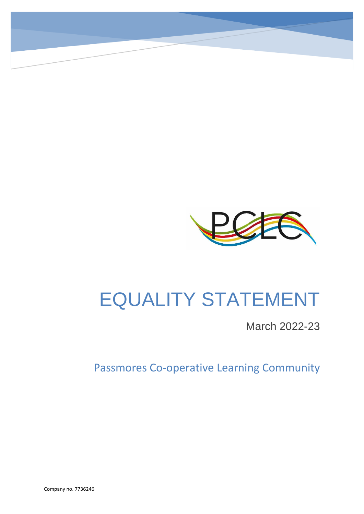

# EQUALITY STATEMENT

March 2022-23

Passmores Co-operative Learning Community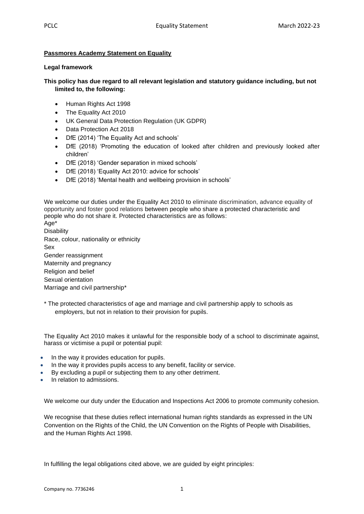# **Passmores Academy Statement on Equality**

## **Legal framework**

# **This policy has due regard to all relevant legislation and statutory guidance including, but not limited to, the following:**

- Human Rights Act 1998
- The Equality Act 2010
- UK General Data Protection Regulation (UK GDPR)
- Data Protection Act 2018
- DfE (2014) 'The Equality Act and schools'
- DfE (2018) 'Promoting the education of looked after children and previously looked after children'
- DfE (2018) 'Gender separation in mixed schools'
- DfE (2018) 'Equality Act 2010: advice for schools'
- DfE (2018) 'Mental health and wellbeing provision in schools'

We welcome our duties under the Equality Act 2010 to eliminate discrimination, advance equality of opportunity and foster good relations between people who share a protected characteristic and people who do not share it. Protected characteristics are as follows:

Age\* **Disability** Race, colour, nationality or ethnicity Sex Gender reassignment Maternity and pregnancy Religion and belief Sexual orientation Marriage and civil partnership\*

\* The protected characteristics of age and marriage and civil partnership apply to schools as employers, but not in relation to their provision for pupils.

The Equality Act 2010 makes it unlawful for the responsible body of a school to discriminate against, harass or victimise a pupil or potential pupil:

- In the way it provides education for pupils.
- In the way it provides pupils access to any benefit, facility or service.
- By excluding a pupil or subjecting them to any other detriment.
- In relation to admissions.

We welcome our duty under the Education and Inspections Act 2006 to promote community cohesion.

We recognise that these duties reflect international human rights standards as expressed in the UN Convention on the Rights of the Child, the UN Convention on the Rights of People with Disabilities, and the Human Rights Act 1998.

In fulfilling the legal obligations cited above, we are guided by eight principles: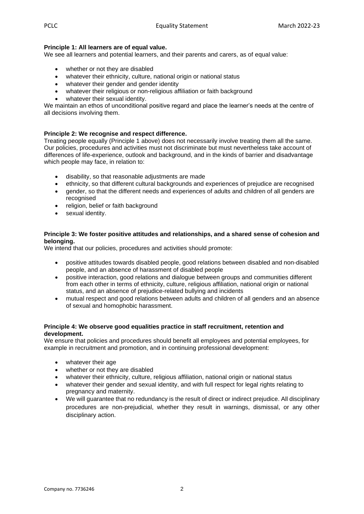# **Principle 1: All learners are of equal value.**

We see all learners and potential learners, and their parents and carers, as of equal value:

- whether or not they are disabled
- whatever their ethnicity, culture, national origin or national status
- whatever their gender and gender identity
- whatever their religious or non-religious affiliation or faith background
- whatever their sexual identity.

We maintain an ethos of unconditional positive regard and place the learner's needs at the centre of all decisions involving them.

## **Principle 2: We recognise and respect difference.**

Treating people equally (Principle 1 above) does not necessarily involve treating them all the same. Our policies, procedures and activities must not discriminate but must nevertheless take account of differences of life-experience, outlook and background, and in the kinds of barrier and disadvantage which people may face, in relation to:

- disability, so that reasonable adjustments are made
- ethnicity, so that different cultural backgrounds and experiences of prejudice are recognised
- gender, so that the different needs and experiences of adults and children of all genders are recognised
- religion, belief or faith background
- sexual identity.

## **Principle 3: We foster positive attitudes and relationships, and a shared sense of cohesion and belonging.**

We intend that our policies, procedures and activities should promote:

- positive attitudes towards disabled people, good relations between disabled and non-disabled people, and an absence of harassment of disabled people
- positive interaction, good relations and dialogue between groups and communities different from each other in terms of ethnicity, culture, religious affiliation, national origin or national status, and an absence of prejudice-related bullying and incidents
- mutual respect and good relations between adults and children of all genders and an absence of sexual and homophobic harassment.

## **Principle 4: We observe good equalities practice in staff recruitment, retention and development.**

We ensure that policies and procedures should benefit all employees and potential employees, for example in recruitment and promotion, and in continuing professional development:

- whatever their age
- whether or not they are disabled
- whatever their ethnicity, culture, religious affiliation, national origin or national status
- whatever their gender and sexual identity, and with full respect for legal rights relating to pregnancy and maternity.
- We will guarantee that no redundancy is the result of direct or indirect prejudice. All disciplinary procedures are non-prejudicial, whether they result in warnings, dismissal, or any other disciplinary action.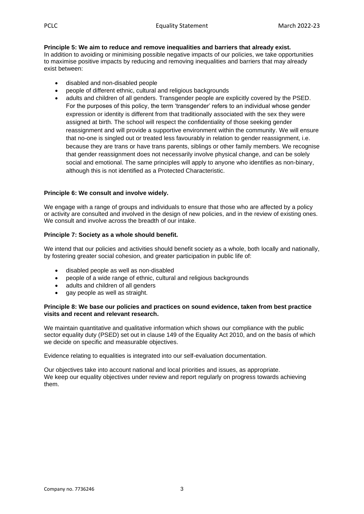**Principle 5: We aim to reduce and remove inequalities and barriers that already exist.** In addition to avoiding or minimising possible negative impacts of our policies, we take opportunities to maximise positive impacts by reducing and removing inequalities and barriers that may already exist between:

- disabled and non-disabled people
- people of different ethnic, cultural and religious backgrounds
- adults and children of all genders. Transgender people are explicitly covered by the PSED. For the purposes of this policy, the term 'transgender' refers to an individual whose gender expression or identity is different from that traditionally associated with the sex they were assigned at birth. The school will respect the confidentiality of those seeking gender reassignment and will provide a supportive environment within the community. We will ensure that no-one is singled out or treated less favourably in relation to gender reassignment, i.e. because they are trans or have trans parents, siblings or other family members. We recognise that gender reassignment does not necessarily involve physical change, and can be solely social and emotional. The same principles will apply to anyone who identifies as non-binary, although this is not identified as a Protected Characteristic.

## **Principle 6: We consult and involve widely.**

We engage with a range of groups and individuals to ensure that those who are affected by a policy or activity are consulted and involved in the design of new policies, and in the review of existing ones. We consult and involve across the breadth of our intake.

## **Principle 7: Society as a whole should benefit.**

We intend that our policies and activities should benefit society as a whole, both locally and nationally, by fostering greater social cohesion, and greater participation in public life of:

- disabled people as well as non-disabled
- people of a wide range of ethnic, cultural and religious backgrounds
- adults and children of all genders
- gay people as well as straight.

#### **Principle 8: We base our policies and practices on sound evidence, taken from best practice visits and recent and relevant research.**

We maintain quantitative and qualitative information which shows our compliance with the public sector equality duty (PSED) set out in clause 149 of the Equality Act 2010, and on the basis of which we decide on specific and measurable objectives.

Evidence relating to equalities is integrated into our self-evaluation documentation.

Our objectives take into account national and local priorities and issues, as appropriate. We keep our equality objectives under review and report regularly on progress towards achieving them.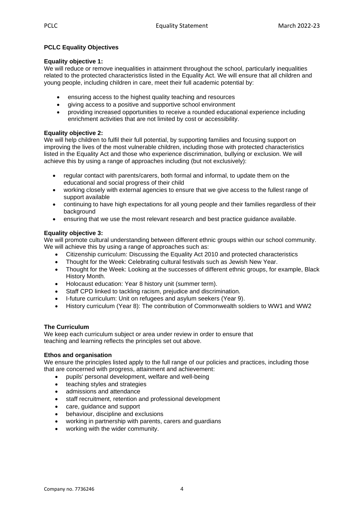# **PCLC Equality Objectives**

## **Equality objective 1:**

We will reduce or remove inequalities in attainment throughout the school, particularly inequalities related to the protected characteristics listed in the Equality Act. We will ensure that all children and young people, including children in care, meet their full academic potential by:

- ensuring access to the highest quality teaching and resources
- giving access to a positive and supportive school environment
- providing increased opportunities to receive a rounded educational experience including enrichment activities that are not limited by cost or accessibility.

# **Equality objective 2:**

We will help children to fulfil their full potential, by supporting families and focusing support on improving the lives of the most vulnerable children, including those with protected characteristics listed in the Equality Act and those who experience discrimination, bullying or exclusion. We will achieve this by using a range of approaches including (but not exclusively):

- regular contact with parents/carers, both formal and informal, to update them on the educational and social progress of their child
- working closely with external agencies to ensure that we give access to the fullest range of support available
- continuing to have high expectations for all young people and their families regardless of their background
- ensuring that we use the most relevant research and best practice guidance available.

# **Equality objective 3:**

We will promote cultural understanding between different ethnic groups within our school community. We will achieve this by using a range of approaches such as:

- Citizenship curriculum: Discussing the Equality Act 2010 and protected characteristics
- Thought for the Week: Celebrating cultural festivals such as Jewish New Year.
- Thought for the Week: Looking at the successes of different ethnic groups, for example, Black History Month.
- Holocaust education: Year 8 history unit (summer term).
- Staff CPD linked to tackling racism, prejudice and discrimination.
- I-future curriculum: Unit on refugees and asylum seekers (Year 9).
- History curriculum (Year 8): The contribution of Commonwealth soldiers to WW1 and WW2

# **The Curriculum**

We keep each curriculum subject or area under review in order to ensure that teaching and learning reflects the principles set out above.

## **Ethos and organisation**

We ensure the principles listed apply to the full range of our policies and practices, including those that are concerned with progress, attainment and achievement:

- pupils' personal development, welfare and well-being
- teaching styles and strategies
- admissions and attendance
- staff recruitment, retention and professional development
- care, guidance and support
- behaviour, discipline and exclusions
- working in partnership with parents, carers and guardians
- working with the wider community.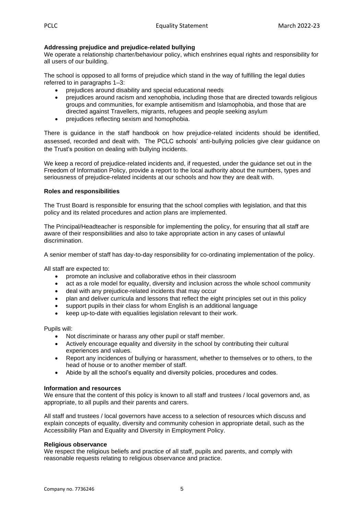# **Addressing prejudice and prejudice-related bullying**

We operate a relationship charter/behaviour policy, which enshrines equal rights and responsibility for all users of our building.

The school is opposed to all forms of prejudice which stand in the way of fulfilling the legal duties referred to in paragraphs 1–3:

- prejudices around disability and special educational needs
- prejudices around racism and xenophobia, including those that are directed towards religious groups and communities, for example antisemitism and Islamophobia, and those that are directed against Travellers, migrants, refugees and people seeking asylum
- prejudices reflecting sexism and homophobia.

There is guidance in the staff handbook on how prejudice-related incidents should be identified, assessed, recorded and dealt with. The PCLC schools' anti-bullying policies give clear guidance on the Trust's position on dealing with bullying incidents.

We keep a record of prejudice-related incidents and, if requested, under the guidance set out in the Freedom of Information Policy, provide a report to the local authority about the numbers, types and seriousness of prejudice-related incidents at our schools and how they are dealt with.

## **Roles and responsibilities**

The Trust Board is responsible for ensuring that the school complies with legislation, and that this policy and its related procedures and action plans are implemented.

The Principal/Headteacher is responsible for implementing the policy, for ensuring that all staff are aware of their responsibilities and also to take appropriate action in any cases of unlawful discrimination.

A senior member of staff has day-to-day responsibility for co-ordinating implementation of the policy.

All staff are expected to:

- promote an inclusive and collaborative ethos in their classroom
- act as a role model for equality, diversity and inclusion across the whole school community
- deal with any prejudice-related incidents that may occur
- plan and deliver curricula and lessons that reflect the eight principles set out in this policy
- support pupils in their class for whom English is an additional language
- keep up-to-date with equalities legislation relevant to their work.

Pupils will:

- Not discriminate or harass any other pupil or staff member.
- Actively encourage equality and diversity in the school by contributing their cultural experiences and values.
- Report any incidences of bullying or harassment, whether to themselves or to others, to the head of house or to another member of staff.
- Abide by all the school's equality and diversity policies, procedures and codes.

## **Information and resources**

We ensure that the content of this policy is known to all staff and trustees / local governors and, as appropriate, to all pupils and their parents and carers.

All staff and trustees / local governors have access to a selection of resources which discuss and explain concepts of equality, diversity and community cohesion in appropriate detail, such as the Accessibility Plan and Equality and Diversity in Employment Policy.

## **Religious observance**

We respect the religious beliefs and practice of all staff, pupils and parents, and comply with reasonable requests relating to religious observance and practice.